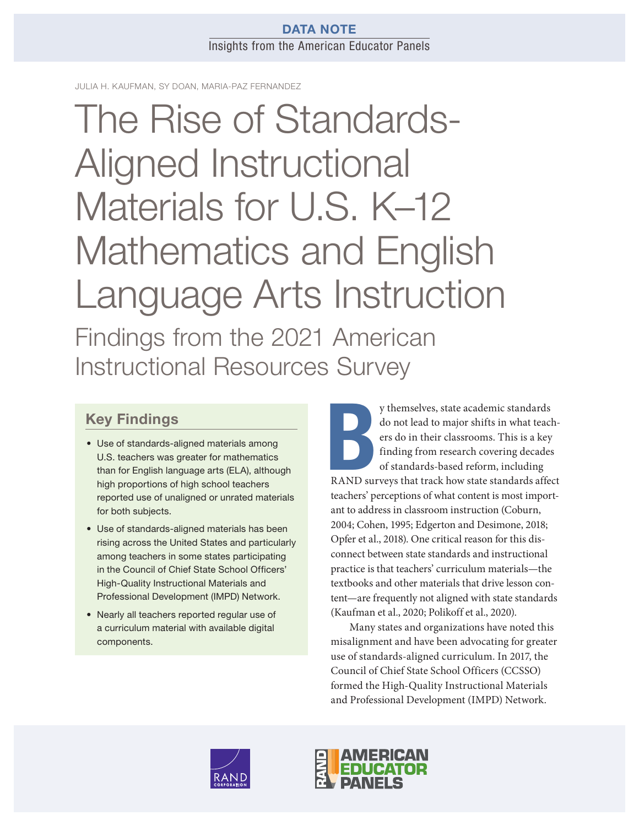## DATA NOTE Insights from the American Educator Panels

JULIA H. KAUFMAN, SY DOAN, MARIA-PAZ FERNANDEZ

The Rise of Standards-Aligned Instructional Materials for U.S. K–12 [Mathematics and English](https://www.rand.org/pubs/research_reports/RRA134-11.html)  Language Arts Instruction Findings from the 2021 American Instructional Resources Survey

# Key Findings

- Use of standards-aligned materials among U.S. teachers was greater for mathematics than for English language arts (ELA), although high proportions of high school teachers reported use of unaligned or unrated materials for both subjects.
- Use of standards-aligned materials has been rising across the United States and particularly among teachers in some states participating in the Council of Chief State School Officers' High-Quality Instructional Materials and Professional Development (IMPD) Network.
- Nearly all teachers reported regular use of a curriculum material with available digital components.

y themselves, state academic standards<br>do not lead to major shifts in what teach-<br>ers do in their classrooms. This is a key<br>finding from research covering decades<br>of standards-based reform, including<br>RAND surveys that trac y themselves, state academic standards do not lead to major shifts in what teachers do in their classrooms. This is a key finding from research covering decades of standards-based reform, including teachers' perceptions of what content is most important to address in classroom instruction (Coburn, 2004; Cohen, 1995; Edgerton and Desimone, 2018; Opfer et al., 2018). One critical reason for this disconnect between state standards and instructional practice is that teachers' curriculum materials—the textbooks and other materials that drive lesson content—are frequently not aligned with state standards (Kaufman et al., 2020; Polikoff et al., 2020).

Many states and organizations have noted this misalignment and have been advocating for greater use of standards-aligned curriculum. In 2017, the Council of Chief State School Officers (CCSSO) formed the High-Quality Instructional Materials and Professional Development (IMPD) Network.



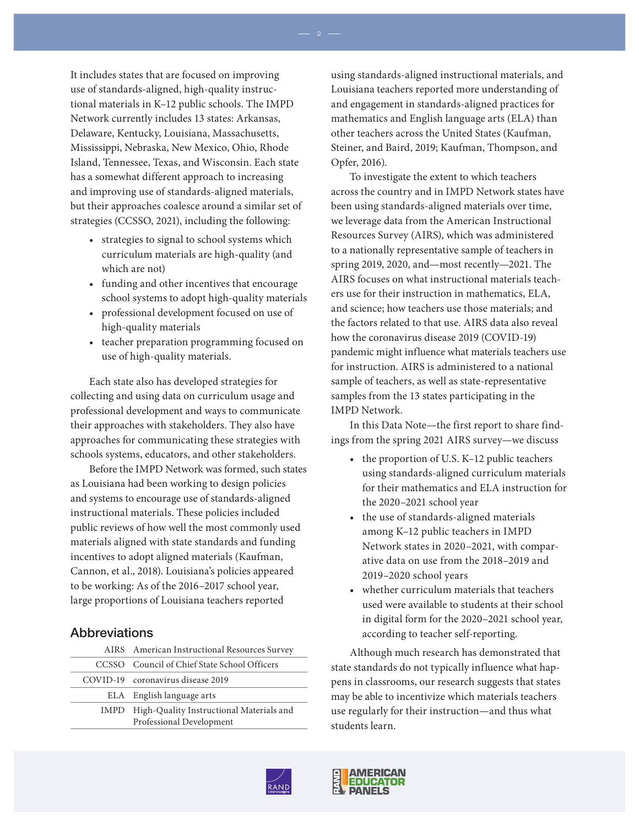It includes states that are focused on improving use of standards-aligned, high-quality instructional materials in K–12 public schools. The IMPD Network currently includes 13 states: Arkansas, Delaware, Kentucky, Louisiana, Massachusetts, Mississippi, Nebraska, New Mexico, Ohio, Rhode Island, Tennessee, Texas, and Wisconsin. Each state has a somewhat different approach to increasing and improving use of standards-aligned materials, but their approaches coalesce around a similar set of strategies (CCSSO, 2021), including the following:

- strategies to signal to school systems which curriculum materials are high-quality (and which are not)
- funding and other incentives that encourage school systems to adopt high-quality materials
- professional development focused on use of high-quality materials
- teacher preparation programming focused on use of high-quality materials.

Each state also has developed strategies for collecting and using data on curriculum usage and professional development and ways to communicate their approaches with stakeholders. They also have approaches for communicating these strategies with schools systems, educators, and other stakeholders.

Before the IMPD Network was formed, such states as Louisiana had been working to design policies and systems to encourage use of standards-aligned instructional materials. These policies included public reviews of how well the most commonly used materials aligned with state standards and funding incentives to adopt aligned materials (Kaufman, Cannon, et al., 2018). Louisiana's policies appeared to be working: As of the 2016–2017 school year, large proportions of Louisiana teachers reported

#### Abbreviations

| AIRS American Instructional Resources Survey                              |  |  |
|---------------------------------------------------------------------------|--|--|
| CCSSO Council of Chief State School Officers                              |  |  |
| COVID-19 coronavirus disease 2019                                         |  |  |
| ELA English language arts                                                 |  |  |
| IMPD High-Quality Instructional Materials and<br>Professional Development |  |  |

using standards-aligned instructional materials, and Louisiana teachers reported more understanding of and engagement in standards-aligned practices for mathematics and English language arts (ELA) than other teachers across the United States (Kaufman, Steiner, and Baird, 2019; Kaufman, Thompson, and Opfer, 2016).

To investigate the extent to which teachers across the country and in IMPD Network states have been using standards-aligned materials over time, we leverage data from the American Instructional Resources Survey (AIRS), which was administered to a nationally representative sample of teachers in spring 2019, 2020, and—most recently—2021. The AIRS focuses on what instructional materials teachers use for their instruction in mathematics, ELA, and science; how teachers use those materials; and the factors related to that use. AIRS data also reveal how the coronavirus disease 2019 (COVID-19) pandemic might influence what materials teachers use for instruction. AIRS is administered to a national sample of teachers, as well as state-representative samples from the 13 states participating in the IMPD Network.

In this Data Note—the first report to share findings from the spring 2021 AIRS survey—we discuss

- the proportion of U.S. K–12 public teachers using standards-aligned curriculum materials for their mathematics and ELA instruction for the 2020–2021 school year
- the use of standards-aligned materials among K–12 public teachers in IMPD Network states in 2020–2021, with comparative data on use from the 2018–2019 and 2019–2020 school years
- whether curriculum materials that teachers used were available to students at their school in digital form for the 2020–2021 school year, according to teacher self-reporting.

Although much research has demonstrated that state standards do not typically influence what happens in classrooms, our research suggests that states may be able to incentivize which materials teachers use regularly for their instruction—and thus what students learn.



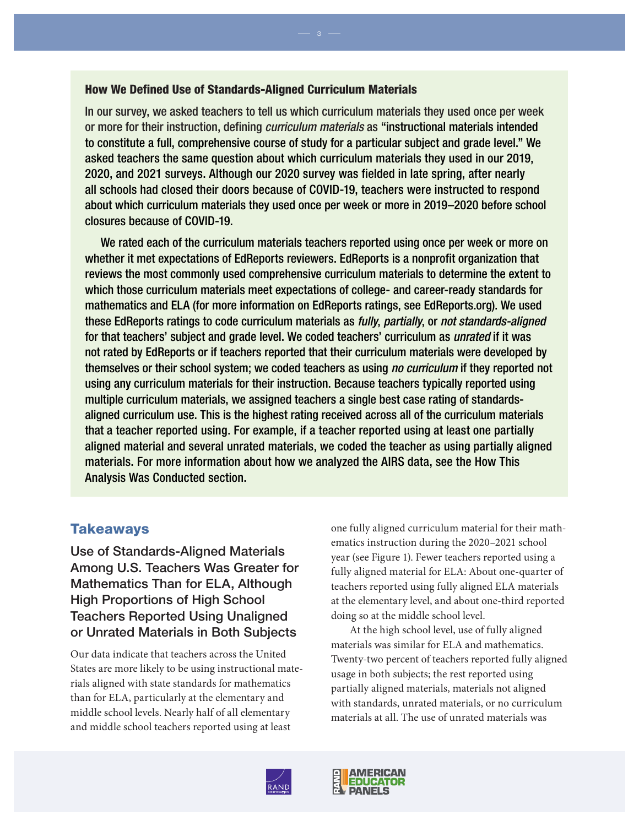#### How We Defined Use of Standards-Aligned Curriculum Materials

In our survey, we asked teachers to tell us which curriculum materials they used once per week or more for their instruction, defining *curriculum materials* as "instructional materials intended to constitute a full, comprehensive course of study for a particular subject and grade level." We asked teachers the same question about which curriculum materials they used in our 2019, 2020, and 2021 surveys. Although our 2020 survey was fielded in late spring, after nearly all schools had closed their doors because of COVID-19, teachers were instructed to respond about which curriculum materials they used once per week or more in 2019–2020 before school closures because of COVID-19.

We rated each of the curriculum materials teachers reported using once per week or more on whether it met expectations of EdReports reviewers. EdReports is a nonprofit organization that reviews the most commonly used comprehensive curriculum materials to determine the extent to which those curriculum materials meet expectations of college- and career-ready standards for mathematics and ELA (for more information on EdReports ratings, see EdReports.org). We used these EdReports ratings to code curriculum materials as *fully*, *partially*, or *not standards-aligned* for that teachers' subject and grade level. We coded teachers' curriculum as *unrated* if it was not rated by EdReports or if teachers reported that their curriculum materials were developed by themselves or their school system; we coded teachers as using *no curriculum* if they reported not using any curriculum materials for their instruction. Because teachers typically reported using multiple curriculum materials, we assigned teachers a single best case rating of standardsaligned curriculum use. This is the highest rating received across all of the curriculum materials that a teacher reported using. For example, if a teacher reported using at least one partially aligned material and several unrated materials, we coded the teacher as using partially aligned materials. For more information about how we analyzed the AIRS data, see the How This Analysis Was Conducted section.

## **Takeaways**

Use of Standards-Aligned Materials Among U.S. Teachers Was Greater for Mathematics Than for ELA, Although High Proportions of High School Teachers Reported Using Unaligned or Unrated Materials in Both Subjects

Our data indicate that teachers across the United States are more likely to be using instructional materials aligned with state standards for mathematics than for ELA, particularly at the elementary and middle school levels. Nearly half of all elementary and middle school teachers reported using at least

one fully aligned curriculum material for their mathematics instruction during the 2020–2021 school year (see Figure 1). Fewer teachers reported using a fully aligned material for ELA: About one-quarter of teachers reported using fully aligned ELA materials at the elementary level, and about one-third reported doing so at the middle school level.

At the high school level, use of fully aligned materials was similar for ELA and mathematics. Twenty-two percent of teachers reported fully aligned usage in both subjects; the rest reported using partially aligned materials, materials not aligned with standards, unrated materials, or no curriculum materials at all. The use of unrated materials was



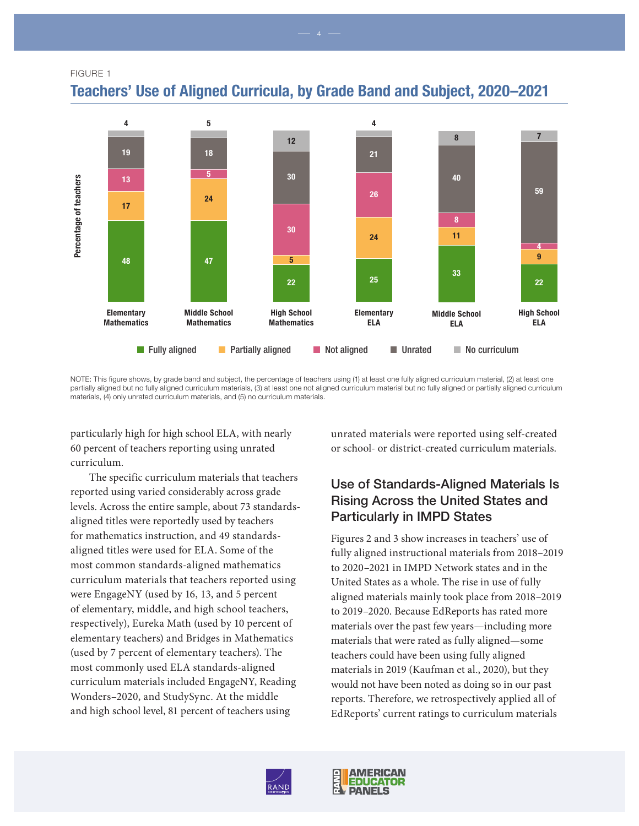FIGURE 1



Teachers' Use of Aligned Curricula, by Grade Band and Subject, 2020–2021

NOTE: This figure shows, by grade band and subject, the percentage of teachers using (1) at least one fully aligned curriculum material, (2) at least one partially aligned but no fully aligned curriculum materials, (3) at least one not aligned curriculum material but no fully aligned or partially aligned curriculum materials, (4) only unrated curriculum materials, and (5) no curriculum materials.

particularly high for high school ELA, with nearly 60 percent of teachers reporting using unrated curriculum.

The specific curriculum materials that teachers reported using varied considerably across grade levels. Across the entire sample, about 73 standardsaligned titles were reportedly used by teachers for mathematics instruction, and 49 standardsaligned titles were used for ELA. Some of the most common standards-aligned mathematics curriculum materials that teachers reported using were EngageNY (used by 16, 13, and 5 percent of elementary, middle, and high school teachers, respectively), Eureka Math (used by 10 percent of elementary teachers) and Bridges in Mathematics (used by 7 percent of elementary teachers). The most commonly used ELA standards-aligned curriculum materials included EngageNY, Reading Wonders–2020, and StudySync. At the middle and high school level, 81 percent of teachers using

unrated materials were reported using self-created or school- or district-created curriculum materials.

## Use of Standards-Aligned Materials Is Rising Across the United States and Particularly in IMPD States

Figures 2 and 3 show increases in teachers' use of fully aligned instructional materials from 2018–2019 to 2020–2021 in IMPD Network states and in the United States as a whole. The rise in use of fully aligned materials mainly took place from 2018–2019 to 2019–2020. Because EdReports has rated more materials over the past few years—including more materials that were rated as fully aligned—some teachers could have been using fully aligned materials in 2019 (Kaufman et al., 2020), but they would not have been noted as doing so in our past reports. Therefore, we retrospectively applied all of EdReports' current ratings to curriculum materials



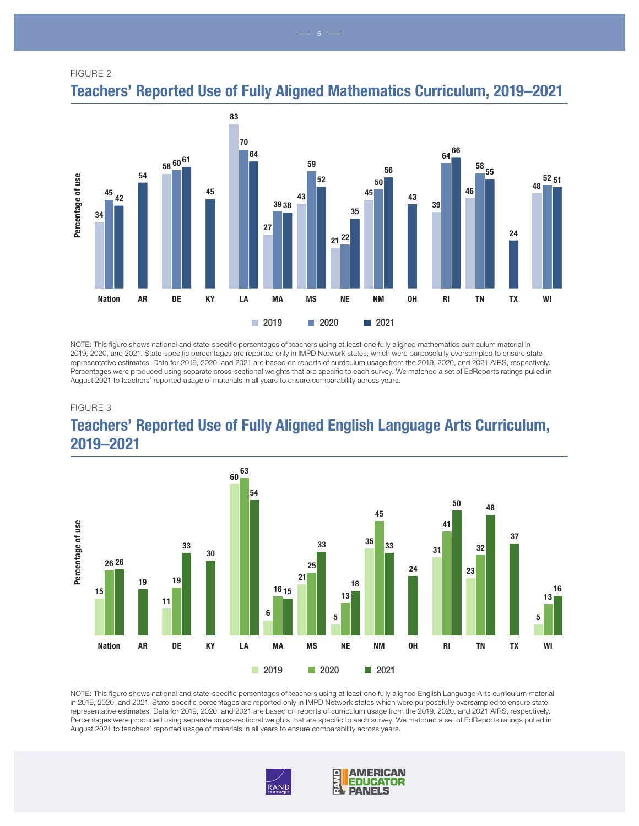FIGURE 2



Teachers' Reported Use of Fully Aligned Mathematics Curriculum, 2019–2021

NOTE: This figure shows national and state-specific percentages of teachers using at least one fully aligned mathematics curriculum material in 2019, 2020, and 2021. State-specific percentages are reported only in IMPD Network states, which were purposefully oversampled to ensure staterepresentative estimates. Data for 2019, 2020, and 2021 are based on reports of curriculum usage from the 2019, 2020, and 2021 AIRS, respectively. Percentages were produced using separate cross-sectional weights that are specific to each survey. We matched a set of EdReports ratings pulled in August 2021 to teachers' reported usage of materials in all years to ensure comparability across years.

#### FIGURE 3

![](_page_4_Figure_5.jpeg)

![](_page_4_Figure_6.jpeg)

NOTE: This figure shows national and state-specific percentages of teachers using at least one fully aligned English Language Arts curriculum material in 2019, 2020, and 2021. State-specific percentages are reported only in IMPD Network states which were purposefully oversampled to ensure staterepresentative estimates. Data for 2019, 2020, and 2021 are based on reports of curriculum usage from the 2019, 2020, and 2021 AIRS, respectively. Percentages were produced using separate cross-sectional weights that are specific to each survey. We matched a set of EdReports ratings pulled in August 2021 to teachers' reported usage of materials in all years to ensure comparability across years.

![](_page_4_Picture_8.jpeg)

![](_page_4_Picture_9.jpeg)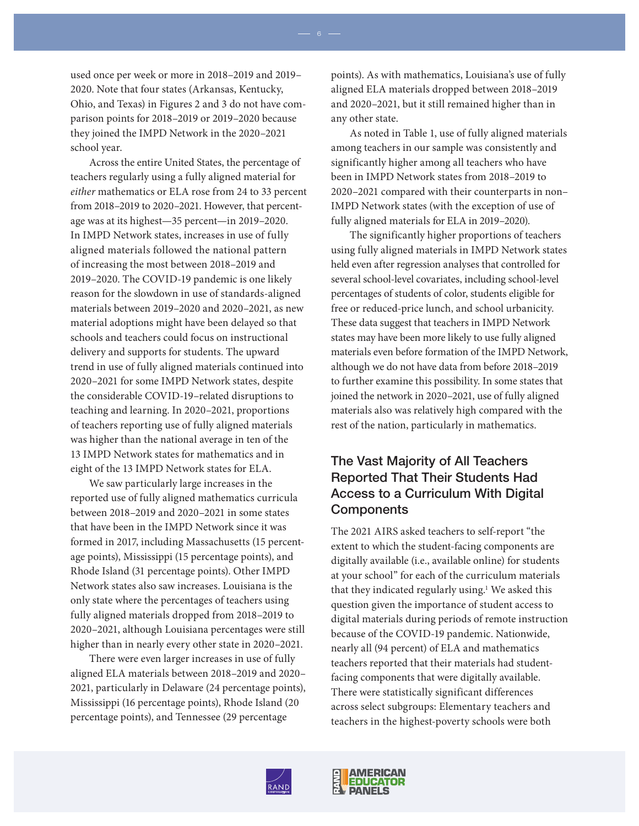used once per week or more in 2018–2019 and 2019– 2020. Note that four states (Arkansas, Kentucky, Ohio, and Texas) in Figures 2 and 3 do not have comparison points for 2018–2019 or 2019–2020 because they joined the IMPD Network in the 2020–2021 school year.

Across the entire United States, the percentage of teachers regularly using a fully aligned material for *either* mathematics or ELA rose from 24 to 33 percent from 2018–2019 to 2020–2021. However, that percentage was at its highest—35 percent—in 2019–2020. In IMPD Network states, increases in use of fully aligned materials followed the national pattern of increasing the most between 2018–2019 and 2019–2020. The COVID-19 pandemic is one likely reason for the slowdown in use of standards-aligned materials between 2019–2020 and 2020–2021, as new material adoptions might have been delayed so that schools and teachers could focus on instructional delivery and supports for students. The upward trend in use of fully aligned materials continued into 2020–2021 for some IMPD Network states, despite the considerable COVID-19–related disruptions to teaching and learning. In 2020–2021, proportions of teachers reporting use of fully aligned materials was higher than the national average in ten of the 13 IMPD Network states for mathematics and in eight of the 13 IMPD Network states for ELA.

We saw particularly large increases in the reported use of fully aligned mathematics curricula between 2018–2019 and 2020–2021 in some states that have been in the IMPD Network since it was formed in 2017, including Massachusetts (15 percentage points), Mississippi (15 percentage points), and Rhode Island (31 percentage points). Other IMPD Network states also saw increases. Louisiana is the only state where the percentages of teachers using fully aligned materials dropped from 2018–2019 to 2020–2021, although Louisiana percentages were still higher than in nearly every other state in 2020–2021.

There were even larger increases in use of fully aligned ELA materials between 2018–2019 and 2020– 2021, particularly in Delaware (24 percentage points), Mississippi (16 percentage points), Rhode Island (20 percentage points), and Tennessee (29 percentage

points). As with mathematics, Louisiana's use of fully aligned ELA materials dropped between 2018–2019 and 2020–2021, but it still remained higher than in any other state.

As noted in Table 1, use of fully aligned materials among teachers in our sample was consistently and significantly higher among all teachers who have been in IMPD Network states from 2018–2019 to 2020–2021 compared with their counterparts in non– IMPD Network states (with the exception of use of fully aligned materials for ELA in 2019–2020).

The significantly higher proportions of teachers using fully aligned materials in IMPD Network states held even after regression analyses that controlled for several school-level covariates, including school-level percentages of students of color, students eligible for free or reduced-price lunch, and school urbanicity. These data suggest that teachers in IMPD Network states may have been more likely to use fully aligned materials even before formation of the IMPD Network, although we do not have data from before 2018–2019 to further examine this possibility. In some states that joined the network in 2020–2021, use of fully aligned materials also was relatively high compared with the rest of the nation, particularly in mathematics.

## The Vast Majority of All Teachers Reported That Their Students Had Access to a Curriculum With Digital Components

The 2021 AIRS asked teachers to self-report "the extent to which the student-facing components are digitally available (i.e., available online) for students at your school" for each of the curriculum materials that they indicated regularly using.<sup>1</sup> We asked this question given the importance of student access to digital materials during periods of remote instruction because of the COVID-19 pandemic. Nationwide, nearly all (94 percent) of ELA and mathematics teachers reported that their materials had studentfacing components that were digitally available. There were statistically significant differences across select subgroups: Elementary teachers and teachers in the highest-poverty schools were both

![](_page_5_Picture_10.jpeg)

![](_page_5_Picture_11.jpeg)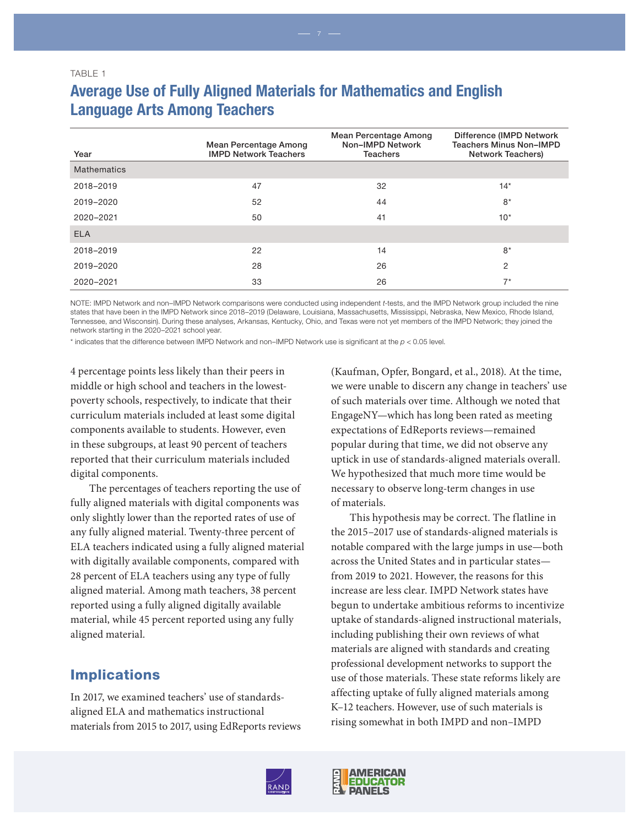# Average Use of Fully Aligned Materials for Mathematics and English Language Arts Among Teachers

| Year        | Mean Percentage Among<br><b>IMPD Network Teachers</b> | Mean Percentage Among<br>Non-IMPD Network<br><b>Teachers</b> | Difference (IMPD Network<br><b>Teachers Minus Non-IMPD</b><br><b>Network Teachers)</b> |
|-------------|-------------------------------------------------------|--------------------------------------------------------------|----------------------------------------------------------------------------------------|
| Mathematics |                                                       |                                                              |                                                                                        |
| 2018-2019   | 47                                                    | 32                                                           | $14*$                                                                                  |
| 2019-2020   | 52                                                    | 44                                                           | $8*$                                                                                   |
| 2020-2021   | 50                                                    | 41                                                           | $10*$                                                                                  |
| <b>ELA</b>  |                                                       |                                                              |                                                                                        |
| 2018-2019   | 22                                                    | 14                                                           | $8*$                                                                                   |
| 2019-2020   | 28                                                    | 26                                                           | 2                                                                                      |
| 2020-2021   | 33                                                    | 26                                                           | $7^*$                                                                                  |

NOTE: IMPD Network and non–IMPD Network comparisons were conducted using independent *t*-tests, and the IMPD Network group included the nine states that have been in the IMPD Network since 2018–2019 (Delaware, Louisiana, Massachusetts, Mississippi, Nebraska, New Mexico, Rhode Island, Tennessee, and Wisconsin). During these analyses, Arkansas, Kentucky, Ohio, and Texas were not yet members of the IMPD Network; they joined the network starting in the 2020–2021 school year.

 $*$  indicates that the difference between IMPD Network and non–IMPD Network use is significant at the  $p < 0.05$  level.

4 percentage points less likely than their peers in middle or high school and teachers in the lowestpoverty schools, respectively, to indicate that their curriculum materials included at least some digital components available to students. However, even in these subgroups, at least 90 percent of teachers reported that their curriculum materials included digital components.

The percentages of teachers reporting the use of fully aligned materials with digital components was only slightly lower than the reported rates of use of any fully aligned material. Twenty-three percent of ELA teachers indicated using a fully aligned material with digitally available components, compared with 28 percent of ELA teachers using any type of fully aligned material. Among math teachers, 38 percent reported using a fully aligned digitally available material, while 45 percent reported using any fully aligned material.

#### **Implications**

In 2017, we examined teachers' use of standardsaligned ELA and mathematics instructional materials from 2015 to 2017, using EdReports reviews

(Kaufman, Opfer, Bongard, et al., 2018). At the time, we were unable to discern any change in teachers' use of such materials over time. Although we noted that EngageNY—which has long been rated as meeting expectations of EdReports reviews—remained popular during that time, we did not observe any uptick in use of standards-aligned materials overall. We hypothesized that much more time would be necessary to observe long-term changes in use of materials.

This hypothesis may be correct. The flatline in the 2015–2017 use of standards-aligned materials is notable compared with the large jumps in use—both across the United States and in particular states from 2019 to 2021. However, the reasons for this increase are less clear. IMPD Network states have begun to undertake ambitious reforms to incentivize uptake of standards-aligned instructional materials, including publishing their own reviews of what materials are aligned with standards and creating professional development networks to support the use of those materials. These state reforms likely are affecting uptake of fully aligned materials among K–12 teachers. However, use of such materials is rising somewhat in both IMPD and non–IMPD

![](_page_6_Picture_12.jpeg)

![](_page_6_Picture_13.jpeg)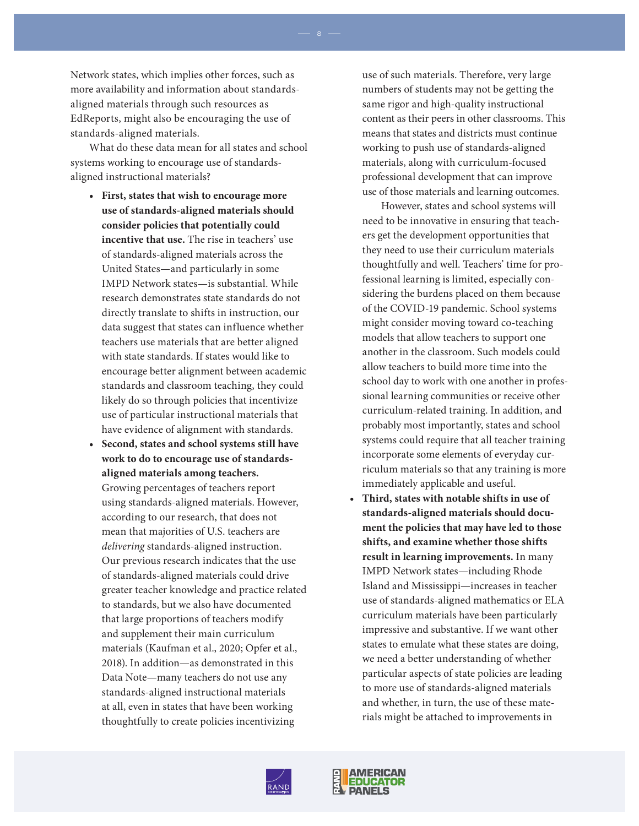Network states, which implies other forces, such as more availability and information about standardsaligned materials through such resources as EdReports, might also be encouraging the use of standards-aligned materials.

What do these data mean for all states and school systems working to encourage use of standardsaligned instructional materials?

- **• First, states that wish to encourage more use of standards-aligned materials should consider policies that potentially could incentive that use.** The rise in teachers' use of standards-aligned materials across the United States—and particularly in some IMPD Network states—is substantial. While research demonstrates state standards do not directly translate to shifts in instruction, our data suggest that states can influence whether teachers use materials that are better aligned with state standards. If states would like to encourage better alignment between academic standards and classroom teaching, they could likely do so through policies that incentivize use of particular instructional materials that have evidence of alignment with standards.
- **• Second, states and school systems still have work to do to encourage use of standardsaligned materials among teachers.** Growing percentages of teachers report using standards-aligned materials. However, according to our research, that does not mean that majorities of U.S. teachers are *delivering* standards-aligned instruction. Our previous research indicates that the use of standards-aligned materials could drive greater teacher knowledge and practice related to standards, but we also have documented that large proportions of teachers modify and supplement their main curriculum materials (Kaufman et al., 2020; Opfer et al., 2018). In addition—as demonstrated in this Data Note—many teachers do not use any standards-aligned instructional materials at all, even in states that have been working thoughtfully to create policies incentivizing

use of such materials. Therefore, very large numbers of students may not be getting the same rigor and high-quality instructional content as their peers in other classrooms. This means that states and districts must continue working to push use of standards-aligned materials, along with curriculum-focused professional development that can improve use of those materials and learning outcomes.

However, states and school systems will need to be innovative in ensuring that teachers get the development opportunities that they need to use their curriculum materials thoughtfully and well. Teachers' time for professional learning is limited, especially considering the burdens placed on them because of the COVID-19 pandemic. School systems might consider moving toward co-teaching models that allow teachers to support one another in the classroom. Such models could allow teachers to build more time into the school day to work with one another in professional learning communities or receive other curriculum-related training. In addition, and probably most importantly, states and school systems could require that all teacher training incorporate some elements of everyday curriculum materials so that any training is more immediately applicable and useful.

**• Third, states with notable shifts in use of standards-aligned materials should document the policies that may have led to those shifts, and examine whether those shifts result in learning improvements.** In many IMPD Network states—including Rhode Island and Mississippi—increases in teacher use of standards-aligned mathematics or ELA curriculum materials have been particularly impressive and substantive. If we want other states to emulate what these states are doing, we need a better understanding of whether particular aspects of state policies are leading to more use of standards-aligned materials and whether, in turn, the use of these materials might be attached to improvements in

![](_page_7_Picture_8.jpeg)

![](_page_7_Picture_9.jpeg)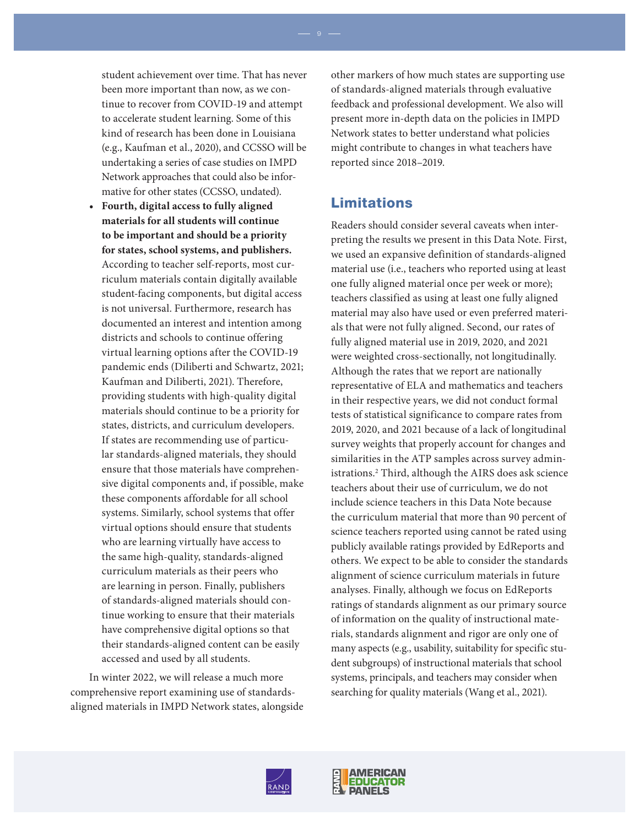student achievement over time. That has never been more important than now, as we continue to recover from COVID-19 and attempt to accelerate student learning. Some of this kind of research has been done in Louisiana (e.g., Kaufman et al., 2020), and CCSSO will be undertaking a series of case studies on IMPD Network approaches that could also be informative for other states (CCSSO, undated).

**• Fourth, digital access to fully aligned materials for all students will continue to be important and should be a priority for states, school systems, and publishers.**  According to teacher self-reports, most curriculum materials contain digitally available student-facing components, but digital access is not universal. Furthermore, research has documented an interest and intention among districts and schools to continue offering virtual learning options after the COVID-19 pandemic ends (Diliberti and Schwartz, 2021; Kaufman and Diliberti, 2021). Therefore, providing students with high-quality digital materials should continue to be a priority for states, districts, and curriculum developers. If states are recommending use of particular standards-aligned materials, they should ensure that those materials have comprehensive digital components and, if possible, make these components affordable for all school systems. Similarly, school systems that offer virtual options should ensure that students who are learning virtually have access to the same high-quality, standards-aligned curriculum materials as their peers who are learning in person. Finally, publishers of standards-aligned materials should continue working to ensure that their materials have comprehensive digital options so that their standards-aligned content can be easily accessed and used by all students.

In winter 2022, we will release a much more comprehensive report examining use of standardsaligned materials in IMPD Network states, alongside other markers of how much states are supporting use of standards-aligned materials through evaluative feedback and professional development. We also will present more in-depth data on the policies in IMPD Network states to better understand what policies might contribute to changes in what teachers have reported since 2018–2019.

### Limitations

Readers should consider several caveats when interpreting the results we present in this Data Note. First, we used an expansive definition of standards-aligned material use (i.e., teachers who reported using at least one fully aligned material once per week or more); teachers classified as using at least one fully aligned material may also have used or even preferred materials that were not fully aligned. Second, our rates of fully aligned material use in 2019, 2020, and 2021 were weighted cross-sectionally, not longitudinally. Although the rates that we report are nationally representative of ELA and mathematics and teachers in their respective years, we did not conduct formal tests of statistical significance to compare rates from 2019, 2020, and 2021 because of a lack of longitudinal survey weights that properly account for changes and similarities in the ATP samples across survey administrations.2 Third, although the AIRS does ask science teachers about their use of curriculum, we do not include science teachers in this Data Note because the curriculum material that more than 90 percent of science teachers reported using cannot be rated using publicly available ratings provided by EdReports and others. We expect to be able to consider the standards alignment of science curriculum materials in future analyses. Finally, although we focus on EdReports ratings of standards alignment as our primary source of information on the quality of instructional materials, standards alignment and rigor are only one of many aspects (e.g., usability, suitability for specific student subgroups) of instructional materials that school systems, principals, and teachers may consider when searching for quality materials (Wang et al., 2021).

![](_page_8_Picture_7.jpeg)

![](_page_8_Picture_8.jpeg)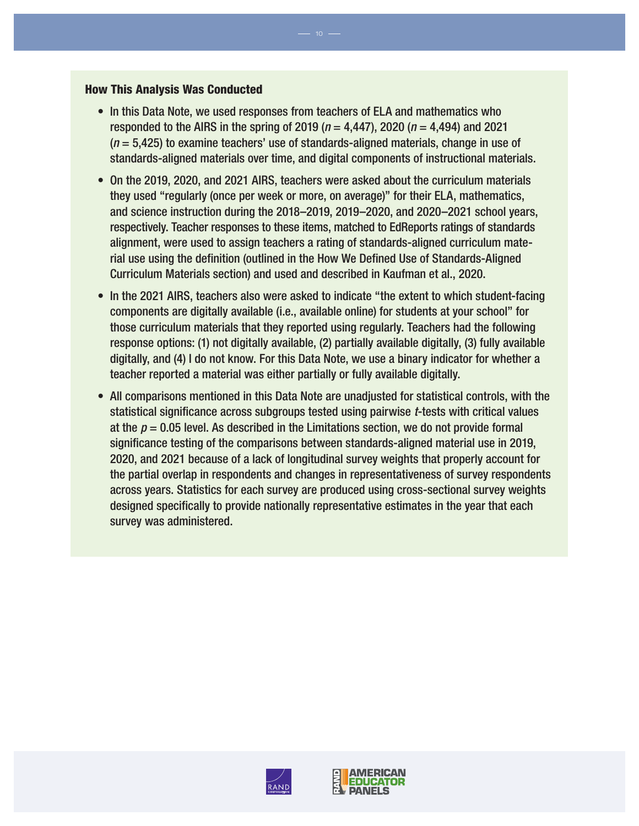#### How This Analysis Was Conducted

- In this Data Note, we used responses from teachers of ELA and mathematics who responded to the AIRS in the spring of 2019 (*n* = 4,447), 2020 (*n* = 4,494) and 2021 (*n* = 5,425) to examine teachers' use of standards-aligned materials, change in use of standards-aligned materials over time, and digital components of instructional materials.
- On the 2019, 2020, and 2021 AIRS, teachers were asked about the curriculum materials they used "regularly (once per week or more, on average)" for their ELA, mathematics, and science instruction during the 2018–2019, 2019–2020, and 2020–2021 school years, respectively. Teacher responses to these items, matched to EdReports ratings of standards alignment, were used to assign teachers a rating of standards-aligned curriculum material use using the definition (outlined in the How We Defined Use of Standards-Aligned Curriculum Materials section) and used and described in Kaufman et al., 2020.
- In the 2021 AIRS, teachers also were asked to indicate "the extent to which student-facing components are digitally available (i.e., available online) for students at your school" for those curriculum materials that they reported using regularly. Teachers had the following response options: (1) not digitally available, (2) partially available digitally, (3) fully available digitally, and (4) I do not know. For this Data Note, we use a binary indicator for whether a teacher reported a material was either partially or fully available digitally.
- All comparisons mentioned in this Data Note are unadjusted for statistical controls, with the statistical significance across subgroups tested using pairwise *t*-tests with critical values at the  $p = 0.05$  level. As described in the Limitations section, we do not provide formal significance testing of the comparisons between standards-aligned material use in 2019, 2020, and 2021 because of a lack of longitudinal survey weights that properly account for the partial overlap in respondents and changes in representativeness of survey respondents across years. Statistics for each survey are produced using cross-sectional survey weights designed specifically to provide nationally representative estimates in the year that each survey was administered.

![](_page_9_Picture_5.jpeg)

![](_page_9_Picture_6.jpeg)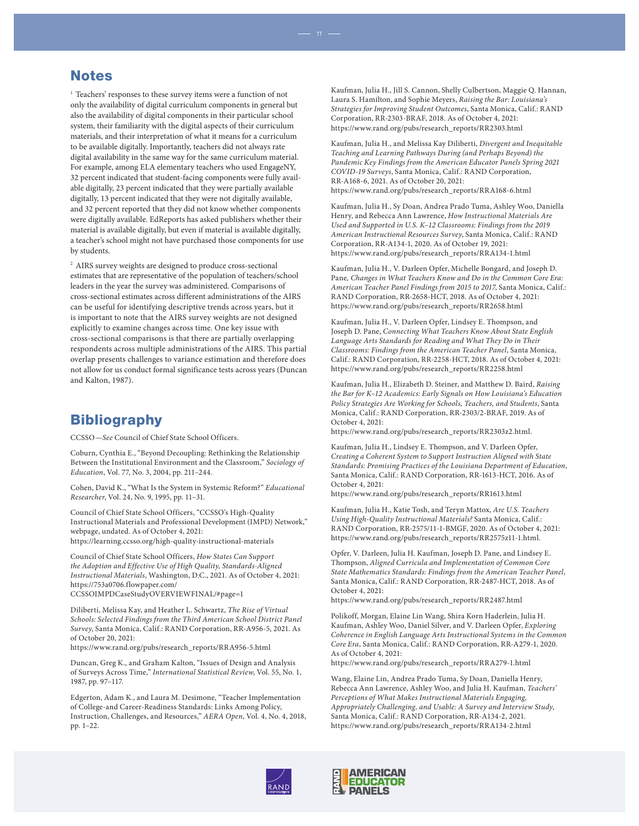#### **Notes**

<sup>1</sup> Teachers' responses to these survey items were a function of not only the availability of digital curriculum components in general but also the availability of digital components in their particular school system, their familiarity with the digital aspects of their curriculum materials, and their interpretation of what it means for a curriculum to be available digitally. Importantly, teachers did not always rate digital availability in the same way for the same curriculum material. For example, among ELA elementary teachers who used EngageNY, 32 percent indicated that student-facing components were fully available digitally, 23 percent indicated that they were partially available digitally, 13 percent indicated that they were not digitally available, and 32 percent reported that they did not know whether components were digitally available. EdReports has asked publishers whether their material is available digitally, but even if material is available digitally, a teacher's school might not have purchased those components for use by students.

<sup>2</sup> AIRS survey weights are designed to produce cross-sectional estimates that are representative of the population of teachers/school leaders in the year the survey was administered. Comparisons of cross-sectional estimates across different administrations of the AIRS can be useful for identifying descriptive trends across years, but it is important to note that the AIRS survey weights are not designed explicitly to examine changes across time. One key issue with cross-sectional comparisons is that there are partially overlapping respondents across multiple administrations of the AIRS. This partial overlap presents challenges to variance estimation and therefore does not allow for us conduct formal significance tests across years (Duncan and Kalton, 1987).

#### **Bibliography**

CCSSO—*See* Council of Chief State School Officers.

Coburn, Cynthia E., "Beyond Decoupling: Rethinking the Relationship Between the Institutional Environment and the Classroom," *Sociology of Education*, Vol. 77, No. 3, 2004, pp. 211–244.

Cohen, David K., "What Is the System in Systemic Reform?" *Educational Researcher*, Vol. 24, No. 9, 1995, pp. 11–31.

Council of Chief State School Officers, "CCSSO's High-Quality Instructional Materials and Professional Development (IMPD) Network," webpage, undated. As of October 4, 2021: <https://learning.ccsso.org/high-quality-instructional-materials>

Council of Chief State School Officers, *How States Can Support the Adoption and Effective Use of High Quality, Standards-Aligned Instructional Materials*, Washington, D.C., 2021. As of October 4, 2021: https://753a0706.flowpaper.com/ [CCSSOIMPDCaseStudyOVERVIEWFINAL/#page=1](https://753a0706.flowpaper.com/CCSSOIMPDCaseStudyOVERVIEWFINAL/#page=1)

Diliberti, Melissa Kay, and Heather L. Schwartz, *The Rise of Virtual Schools: Selected Findings from the Third American School District Panel Survey*, Santa Monica, Calif.: RAND Corporation, RR-A956-5, 2021. As of October 20, 2021:

[https://www.rand.org/pubs/research\\_reports/RRA956-5.html](https://www.rand.org/pubs/research_reports/RRA956-5.html)

Duncan, Greg K., and Graham Kalton, "Issues of Design and Analysis of Surveys Across Time," *International Statistical Review*, Vol. 55, No. 1, 1987, pp. 97–117.

Edgerton, Adam K., and Laura M. Desimone, "Teacher Implementation of College-and Career-Readiness Standards: Links Among Policy, Instruction, Challenges, and Resources," *AERA Open*, Vol. 4, No. 4, 2018, pp. 1–22.

Kaufman, Julia H., Jill S. Cannon, Shelly Culbertson, Maggie Q. Hannan, Laura S. Hamilton, and Sophie Meyers, *Raising the Bar: Louisiana's Strategies for Improving Student Outcomes*, Santa Monica, Calif.: RAND Corporation, RR-2303-BRAF, 2018. As of October 4, 2021: [https://www.rand.org/pubs/research\\_reports/RR2303.html](https://www.rand.org/pubs/research_reports/RR2303.html) 

Kaufman, Julia H., and Melissa Kay Diliberti, *Divergent and Inequitable Teaching and Learning Pathways During (and Perhaps Beyond) the Pandemic Key Findings from the American Educator Panels Spring 2021 COVID-19 Surveys*, Santa Monica, Calif.: RAND Corporation, RR-A168-6, 2021. As of October 20, 2021: [https://www.rand.org/pubs/research\\_reports/RRA168-6.html](https://www.rand.org/pubs/research_reports/RRA168-6.html)

Kaufman, Julia H., Sy Doan, Andrea Prado Tuma, Ashley Woo, Daniella Henry, and Rebecca Ann Lawrence, *How Instructional Materials Are Used and Supported in U.S. K–12 Classrooms: Findings from the 2019 American Instructional Resources Survey*, Santa Monica, Calif.: RAND Corporation, RR-A134-1, 2020. As of October 19, 2021: [https://www.rand.org/pubs/research\\_reports/RRA134-1.html](https://www.rand.org/pubs/research_reports/RRA134-1.html)

Kaufman, Julia H., V. Darleen Opfer, Michelle Bongard, and Joseph D. Pane*, Changes in What Teachers Know and Do in the Common Core Era: American Teacher Panel Findings from 2015 to 2017*, Santa Monica, Calif.: RAND Corporation, RR-2658-HCT, 2018. As of October 4, 2021: [https://www.rand.org/pubs/research\\_reports/RR2658.html](https://www.rand.org/pubs/research_reports/RR2658.html)

Kaufman, Julia H., V. Darleen Opfer, Lindsey E. Thompson, and Joseph D. Pane, *Connecting What Teachers Know About State English Language Arts Standards for Reading and What They Do in Their Classrooms: Findings from the American Teacher Panel*, Santa Monica, Calif.: RAND Corporation, RR-2258-HCT, 2018. As of October 4, 2021: [https://www.rand.org/pubs/research\\_reports/RR2258.html](https://www.rand.org/pubs/research_reports/RR2258.html)

Kaufman, Julia H., Elizabeth D. Steiner, and Matthew D. Baird, *Raising the Bar for K–12 Academics: Early Signals on How Louisiana's Education Policy Strategies Are Working for Schools, Teachers, and Students*, Santa Monica, Calif.: RAND Corporation, RR-2303/2-BRAF, 2019. As of October 4, 2021:

[https://www.rand.org/pubs/research\\_reports/RR2303z2.html](https://www.rand.org/pubs/research_reports/RR2303z2.html).

Kaufman, Julia H., Lindsey E. Thompson, and V. Darleen Opfer, *Creating a Coherent System to Support Instruction Aligned with State Standards: Promising Practices of the Louisiana Department of Education*, Santa Monica, Calif.: RAND Corporation, RR-1613-HCT, 2016. As of October 4, 2021:

[https://www.rand.org/pubs/research\\_reports/RR1613.html](https://www.rand.org/pubs/research_reports/RR1613.html)

Kaufman, Julia H., Katie Tosh, and Teryn Mattox, *Are U.S. Teachers Using High-Quality Instructional Materials?* Santa Monica, Calif.: RAND Corporation, RR-2575/11-1-BMGF, 2020. As of October 4, 2021: [https://www.rand.org/pubs/research\\_reports/RR2575z11-1.html.](https://www.rand.org/pubs/research_reports/RR2575z11-1.html)

Opfer, V. Darleen, Julia H. Kaufman, Joseph D. Pane, and Lindsey E. Thompson, *Aligned Curricula and Implementation of Common Core State Mathematics Standards: Findings from the American Teacher Panel*, Santa Monica, Calif.: RAND Corporation, RR-2487-HCT, 2018. As of October 4, 2021:

[https://www.rand.org/pubs/research\\_reports/RR2487.html](https://www.rand.org/pubs/research_reports/RR2487.html)

Polikoff, Morgan, Elaine Lin Wang, Shira Korn Haderlein, Julia H. Kaufman, Ashley Woo, Daniel Silver, and V. Darleen Opfer, *Exploring Coherence in English Language Arts Instructional Systems in the Common Core Era*, Santa Monica, Calif.: RAND Corporation, RR-A279-1, 2020. As of October 4, 2021:

[https://www.rand.org/pubs/research\\_reports/RRA279-1.html](https://www.rand.org/pubs/research_reports/RRA279-1.html)

Wang, Elaine Lin, Andrea Prado Tuma, Sy Doan, Daniella Henry, Rebecca Ann Lawrence, Ashley Woo, and Julia H. Kaufman, *Teachers' Perceptions of What Makes Instructional Materials Engaging, Appropriately Challenging, and Usable: A Survey and Interview Study*, Santa Monica, Calif.: RAND Corporation, RR-A134-2, 2021. [https://www.rand.org/pubs/research\\_reports/RRA134-2.html](https://www.rand.org/pubs/research_reports/RRA134-2.html)

![](_page_10_Picture_29.jpeg)

![](_page_10_Picture_30.jpeg)